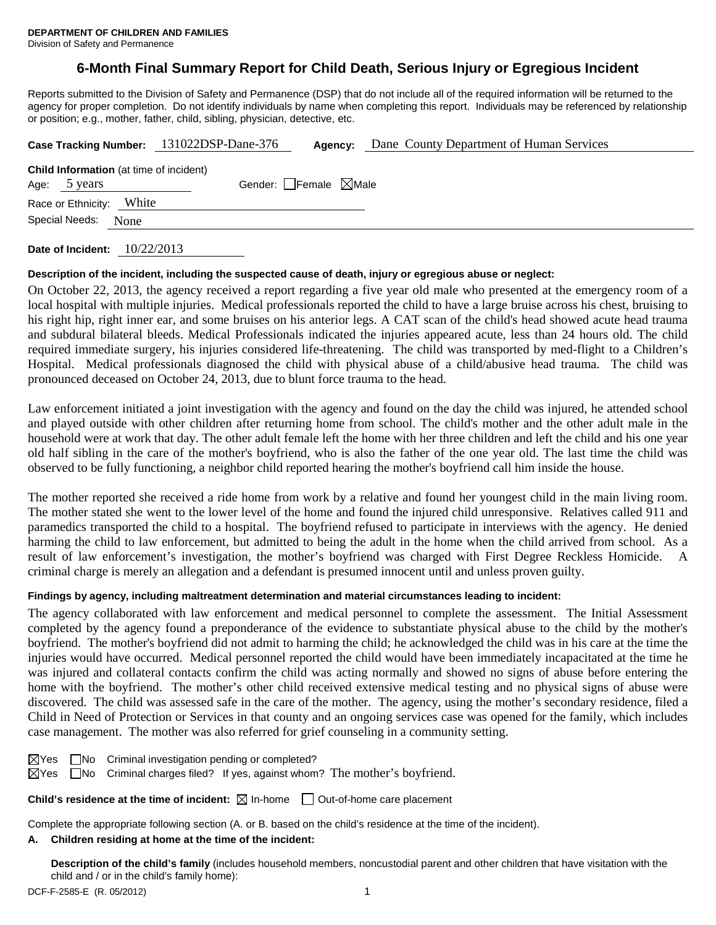Division of Safety and Permanence

# **6-Month Final Summary Report for Child Death, Serious Injury or Egregious Incident**

Reports submitted to the Division of Safety and Permanence (DSP) that do not include all of the required information will be returned to the agency for proper completion. Do not identify individuals by name when completing this report. Individuals may be referenced by relationship or position; e.g., mother, father, child, sibling, physician, detective, etc.

|                                                                |       | Case Tracking Number: 131022DSP-Dane-376 | Agency:                         | Dane County Department of Human Services |
|----------------------------------------------------------------|-------|------------------------------------------|---------------------------------|------------------------------------------|
| <b>Child Information</b> (at time of incident)<br>Age: 5 years |       |                                          | Gender: Female $\boxtimes$ Male |                                          |
| Race or Ethnicity:                                             | White |                                          |                                 |                                          |
| Special Needs:                                                 | None  |                                          |                                 |                                          |
|                                                                |       |                                          |                                 |                                          |

**Date of Incident:** 10/22/2013

# **Description of the incident, including the suspected cause of death, injury or egregious abuse or neglect:**

On October 22, 2013, the agency received a report regarding a five year old male who presented at the emergency room of a local hospital with multiple injuries. Medical professionals reported the child to have a large bruise across his chest, bruising to his right hip, right inner ear, and some bruises on his anterior legs. A CAT scan of the child's head showed acute head trauma and subdural bilateral bleeds. Medical Professionals indicated the injuries appeared acute, less than 24 hours old. The child required immediate surgery, his injuries considered life-threatening. The child was transported by med-flight to a Children's Hospital. Medical professionals diagnosed the child with physical abuse of a child/abusive head trauma. The child was pronounced deceased on October 24, 2013, due to blunt force trauma to the head.

Law enforcement initiated a joint investigation with the agency and found on the day the child was injured, he attended school and played outside with other children after returning home from school. The child's mother and the other adult male in the household were at work that day. The other adult female left the home with her three children and left the child and his one year old half sibling in the care of the mother's boyfriend, who is also the father of the one year old. The last time the child was observed to be fully functioning, a neighbor child reported hearing the mother's boyfriend call him inside the house.

The mother reported she received a ride home from work by a relative and found her youngest child in the main living room. The mother stated she went to the lower level of the home and found the injured child unresponsive. Relatives called 911 and paramedics transported the child to a hospital. The boyfriend refused to participate in interviews with the agency. He denied harming the child to law enforcement, but admitted to being the adult in the home when the child arrived from school. As a result of law enforcement's investigation, the mother's boyfriend was charged with First Degree Reckless Homicide. A criminal charge is merely an allegation and a defendant is presumed innocent until and unless proven guilty.

# **Findings by agency, including maltreatment determination and material circumstances leading to incident:**

The agency collaborated with law enforcement and medical personnel to complete the assessment. The Initial Assessment completed by the agency found a preponderance of the evidence to substantiate physical abuse to the child by the mother's boyfriend. The mother's boyfriend did not admit to harming the child; he acknowledged the child was in his care at the time the injuries would have occurred. Medical personnel reported the child would have been immediately incapacitated at the time he was injured and collateral contacts confirm the child was acting normally and showed no signs of abuse before entering the home with the boyfriend. The mother's other child received extensive medical testing and no physical signs of abuse were discovered. The child was assessed safe in the care of the mother. The agency, using the mother's secondary residence, filed a Child in Need of Protection or Services in that county and an ongoing services case was opened for the family, which includes case management. The mother was also referred for grief counseling in a community setting.

| $\boxtimes$ Yes |  | $\Box$ No Criminal investigation pending or completed? |  |  |
|-----------------|--|--------------------------------------------------------|--|--|
|-----------------|--|--------------------------------------------------------|--|--|

 $\boxtimes$ Yes  $\Box$ No Criminal charges filed? If yes, against whom? The mother's boyfriend.

**Child's residence at the time of incident:**  $\boxtimes$  In-home  $\Box$  Out-of-home care placement

Complete the appropriate following section (A. or B. based on the child's residence at the time of the incident).

# **A. Children residing at home at the time of the incident:**

**Description of the child's family** (includes household members, noncustodial parent and other children that have visitation with the child and / or in the child's family home):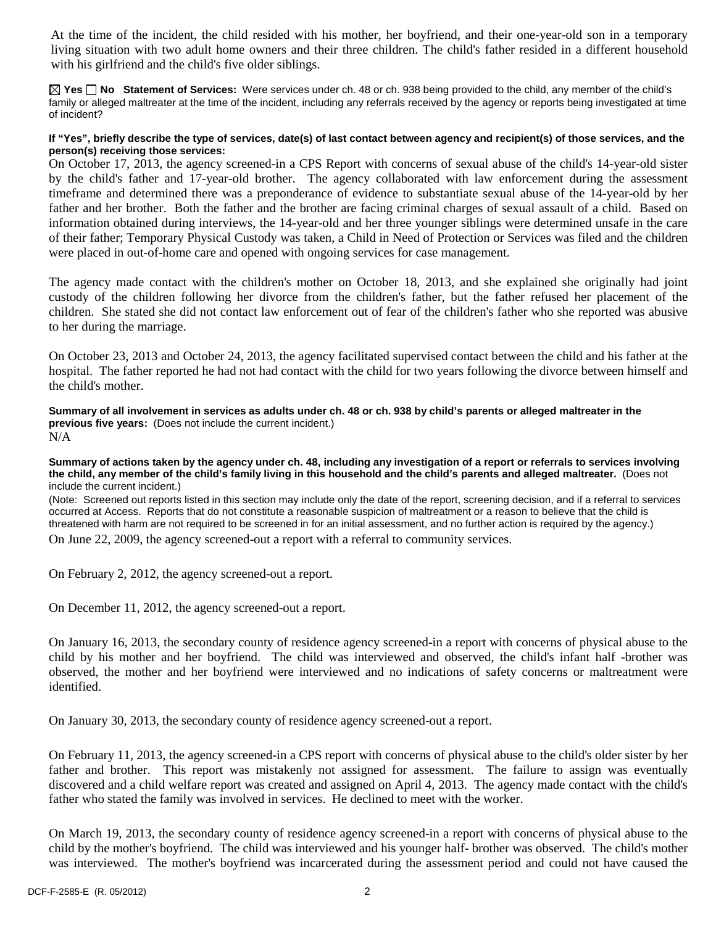At the time of the incident, the child resided with his mother, her boyfriend, and their one-year-old son in a temporary living situation with two adult home owners and their three children. The child's father resided in a different household with his girlfriend and the child's five older siblings.

**Yes No Statement of Services:** Were services under ch. 48 or ch. 938 being provided to the child, any member of the child's family or alleged maltreater at the time of the incident, including any referrals received by the agency or reports being investigated at time of incident?

### **If "Yes", briefly describe the type of services, date(s) of last contact between agency and recipient(s) of those services, and the person(s) receiving those services:**

On October 17, 2013, the agency screened-in a CPS Report with concerns of sexual abuse of the child's 14-year-old sister by the child's father and 17-year-old brother. The agency collaborated with law enforcement during the assessment timeframe and determined there was a preponderance of evidence to substantiate sexual abuse of the 14-year-old by her father and her brother. Both the father and the brother are facing criminal charges of sexual assault of a child. Based on information obtained during interviews, the 14-year-old and her three younger siblings were determined unsafe in the care of their father; Temporary Physical Custody was taken, a Child in Need of Protection or Services was filed and the children were placed in out-of-home care and opened with ongoing services for case management.

The agency made contact with the children's mother on October 18, 2013, and she explained she originally had joint custody of the children following her divorce from the children's father, but the father refused her placement of the children. She stated she did not contact law enforcement out of fear of the children's father who she reported was abusive to her during the marriage.

On October 23, 2013 and October 24, 2013, the agency facilitated supervised contact between the child and his father at the hospital. The father reported he had not had contact with the child for two years following the divorce between himself and the child's mother.

**Summary of all involvement in services as adults under ch. 48 or ch. 938 by child's parents or alleged maltreater in the previous five years:** (Does not include the current incident.) N/A

**Summary of actions taken by the agency under ch. 48, including any investigation of a report or referrals to services involving the child, any member of the child's family living in this household and the child's parents and alleged maltreater.** (Does not include the current incident.)

(Note: Screened out reports listed in this section may include only the date of the report, screening decision, and if a referral to services occurred at Access. Reports that do not constitute a reasonable suspicion of maltreatment or a reason to believe that the child is threatened with harm are not required to be screened in for an initial assessment, and no further action is required by the agency.)

On June 22, 2009, the agency screened-out a report with a referral to community services.

On February 2, 2012, the agency screened-out a report.

On December 11, 2012, the agency screened-out a report.

On January 16, 2013, the secondary county of residence agency screened-in a report with concerns of physical abuse to the child by his mother and her boyfriend. The child was interviewed and observed, the child's infant half -brother was observed, the mother and her boyfriend were interviewed and no indications of safety concerns or maltreatment were identified.

On January 30, 2013, the secondary county of residence agency screened-out a report.

On February 11, 2013, the agency screened-in a CPS report with concerns of physical abuse to the child's older sister by her father and brother. This report was mistakenly not assigned for assessment. The failure to assign was eventually discovered and a child welfare report was created and assigned on April 4, 2013. The agency made contact with the child's father who stated the family was involved in services. He declined to meet with the worker.

On March 19, 2013, the secondary county of residence agency screened-in a report with concerns of physical abuse to the child by the mother's boyfriend. The child was interviewed and his younger half- brother was observed. The child's mother was interviewed. The mother's boyfriend was incarcerated during the assessment period and could not have caused the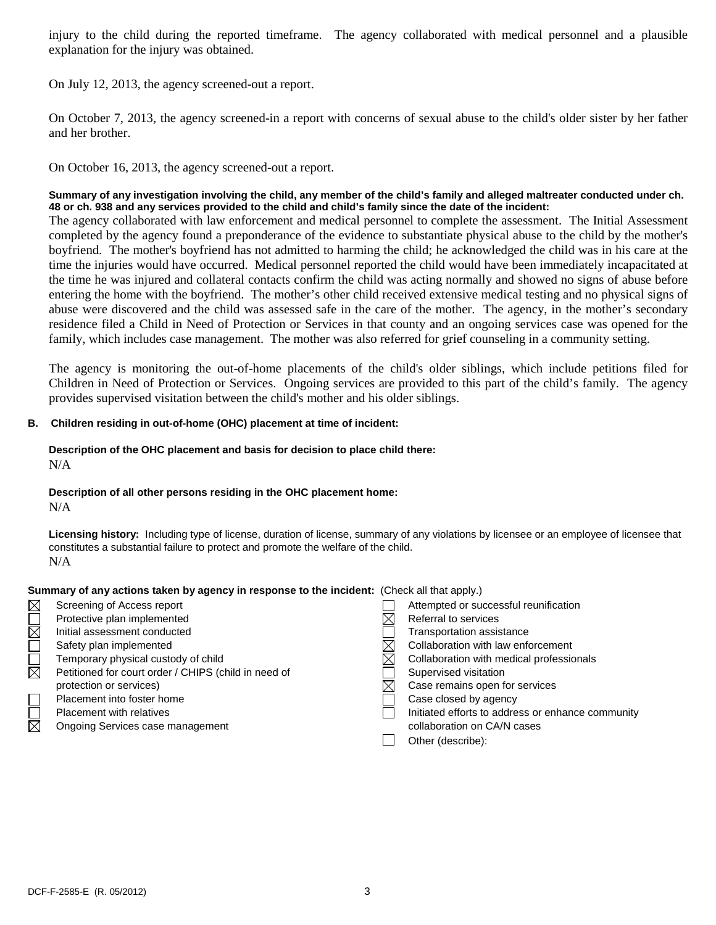injury to the child during the reported timeframe. The agency collaborated with medical personnel and a plausible explanation for the injury was obtained.

On July 12, 2013, the agency screened-out a report.

On October 7, 2013, the agency screened-in a report with concerns of sexual abuse to the child's older sister by her father and her brother.

On October 16, 2013, the agency screened-out a report.

# **Summary of any investigation involving the child, any member of the child's family and alleged maltreater conducted under ch. 48 or ch. 938 and any services provided to the child and child's family since the date of the incident:**

The agency collaborated with law enforcement and medical personnel to complete the assessment. The Initial Assessment completed by the agency found a preponderance of the evidence to substantiate physical abuse to the child by the mother's boyfriend. The mother's boyfriend has not admitted to harming the child; he acknowledged the child was in his care at the time the injuries would have occurred. Medical personnel reported the child would have been immediately incapacitated at the time he was injured and collateral contacts confirm the child was acting normally and showed no signs of abuse before entering the home with the boyfriend. The mother's other child received extensive medical testing and no physical signs of abuse were discovered and the child was assessed safe in the care of the mother. The agency, in the mother's secondary residence filed a Child in Need of Protection or Services in that county and an ongoing services case was opened for the family, which includes case management. The mother was also referred for grief counseling in a community setting.

The agency is monitoring the out-of-home placements of the child's older siblings, which include petitions filed for Children in Need of Protection or Services. Ongoing services are provided to this part of the child's family. The agency provides supervised visitation between the child's mother and his older siblings.

# **B. Children residing in out-of-home (OHC) placement at time of incident:**

#### **Description of the OHC placement and basis for decision to place child there:** N/A

# **Description of all other persons residing in the OHC placement home:**

N/A

**Licensing history:** Including type of license, duration of license, summary of any violations by licensee or an employee of licensee that constitutes a substantial failure to protect and promote the welfare of the child. N/A

#### **Summary of any actions taken by agency in response to the incident:** (Check all that apply.)

| $\boxtimes$            | Screening of Access report                           | Attempted or successful reunification             |
|------------------------|------------------------------------------------------|---------------------------------------------------|
|                        | Protective plan implemented                          | Referral to services                              |
| $\overline{\boxtimes}$ | Initial assessment conducted                         | Transportation assistance                         |
|                        | Safety plan implemented                              | Collaboration with law enforcement                |
|                        | Temporary physical custody of child                  | Collaboration with medical professionals          |
| $\boxtimes$            | Petitioned for court order / CHIPS (child in need of | Supervised visitation                             |
|                        | protection or services)                              | Case remains open for services                    |
|                        | Placement into foster home                           | Case closed by agency                             |
|                        | Placement with relatives                             | Initiated efforts to address or enhance community |
| $\boxtimes$            | Ongoing Services case management                     | collaboration on CA/N cases                       |
|                        |                                                      | Other (describe):                                 |
|                        |                                                      |                                                   |